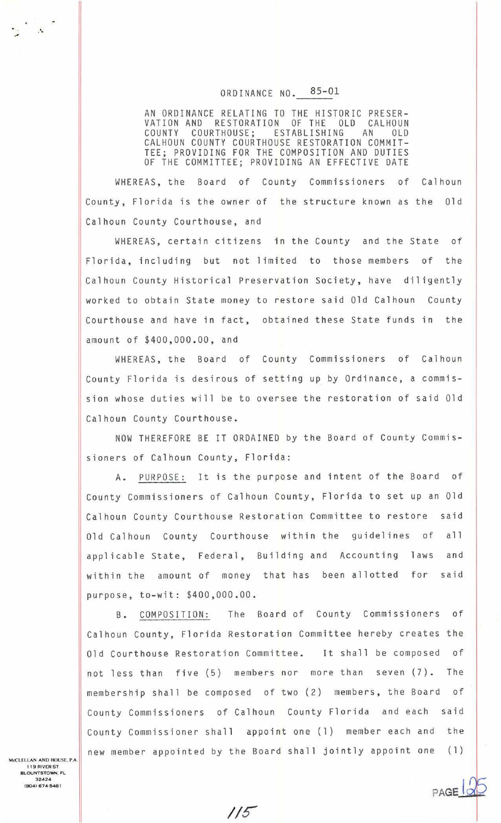## ORDINANCE NO. 85-01

AN ORDINANCE RELATING TO THE HISTORIC PRESER-<br>VATION AND RESTORATION OF THE OLD CALHOUN<br>COUNTY COURTHOUSE; ESTABLISHING AN OLD CALHOUN COUNTY COURTHOUSE RESTORATION COMMIT-TEE; PROVIDING FOR THE COMPOSITION AND DUTIES OF THE COMMITTEE; PROVIDING AN EFFECTIVE DATE

WHEREAS, the Board of County Commissioners of Calhoun County, Florida is the owner of the structure known as the Old Calhoun County Courthouse, and

WHEREAS, certain citizens in the County and the State of Florida , including but not limited to those members of the Calhoun County Historical Preservation Society, have diligently worked to obtain State money to restore said Old Calhoun County Courthouse and have in fact, obtained these State funds in the amount of \$400,000 . 00, and

WHEREAS, the Board of County Commissioners of Calhoun County Florida is desirous of setting up by Ordinance, a commission whose duties will be to oversee the restoration of said Old Calhoun County Courthouse .

NOW THEREFORE BE IT ORDAINED by the Board of County Commis sioners of Calhoun County, Florida :

A. PURPOSE: It is the purpose and intent of the Board of County Commissioners of Calhoun County, Florida to set up an Old Calhoun County Courthouse Restoration Committee to restore said Old Calhoun County Courthouse within the guidelines of all applicable State, Federal, Building and Accounting laws and within the amount of money that has been allotted for said purpose, to-wit: \$400,000.00.

B. COMPOSITION: The Board of County Commissioners of Calhoun County, Florida Restoration Committee hereby creates the Old Courthouse Restoration Committee. It shall be composed of not less than five (5) members nor more than seven (7). The membership shall be composed of two (2) members, the Board of County Commissioners of Calhoun County Florida and each said County Commissioner shall appoint one (1) member each and the new member appointed by the Board shall jointly appoint one (1)

PAGE

*;;s-*

McCLELLAN AND HOUSE. P.A. 119 RIVERST BLOUNTSTOWN, FL 32424 (9041674-5481

 $\mathbb{R}$